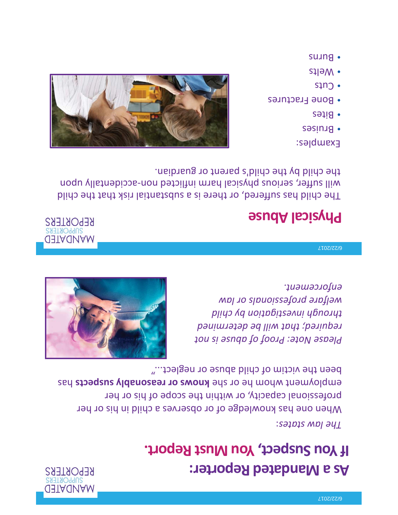

## **As a Mandated Reporter: If You Suspect, You Must Report.**

### *The law states*:

When one has knowledge of or observes a child in his or her professional capacity, or within the scope of his or her employment whom he or she **knows or reasonably suspects** has been the victim of child abuse or neglect..."

*Please Note: Proof of abuse is not required; that will be determined through investigation by child welfare professionals or law enforcement.* 



#### 6/22/2017

### **Physical Abuse**

**MANDATED REPORTERS** 

The child has suffered, or there is a substantial risk that the child will suffer, serious physical harm inflicted non-accidentally upon the child by the child's parent or guardian.

### Examples:

- Bruises
- Bites
- Bone Fractures
- Cuts
- Welts
- Burns

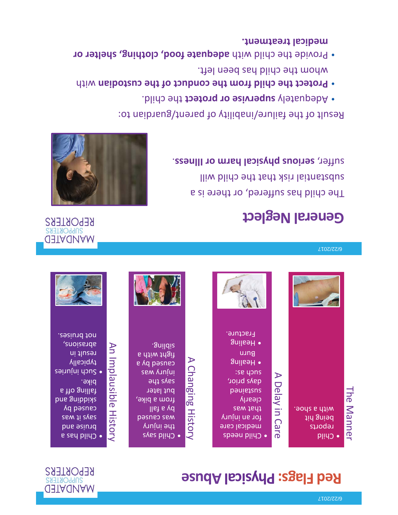## **Red Flags: Physical Abuse**





#### 6/22/2017

### **MANDATED SUPPORTERS REPORTERS**

### **General Neglect**

The child has suffered, or there is a substantial risk that the child will suffer, **serious physical harm or Illness**.



Result of the failure/inability of parent/guardian to:

- Adequately **supervise or protect** the child.
- **Protect the child from the conduct of the custodian** with whom the child has been left.
- Provide the child with **adequate food, clothing, shelter or medical treatment.**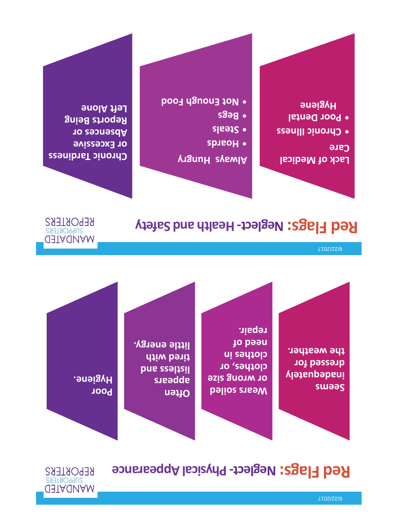## **Red Flags: Neglect- Physical Appearance**

**Seems inadequately dressed for the weather.** 

**Wears soiled or wrong size clothes, or clothes in need of repair.** 

**Often appears listless and tired with little energy.** 

**Poor Hygiene.** 

**MANDATED SUPPORTERS REPORTERS** 

6/22/2017

## **Red Flags: Neglect- Health and Safety**

**MANDATED SUPPORTERS REPORTERS** 

**Lack of Medical Care** 

- **Chronic Illness**
- **Poor Dental Hygiene**

### **Always Hungry**

- **Hoards**
- **Steals**
- **Begs**
- **Not Enough Food**

**Chronic Tardiness or Excessive Absences or Reports Being Left Alone**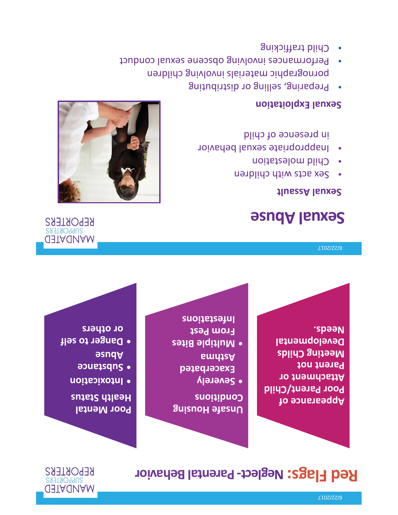## **Red Flags: Neglect- Parental Behavior**



**Appearance of Poor Parent/Child Attachment or Parent not Meeting Childs Developmental Needs.** 

**Unsafe Housing Conditions** 

- **Severely Exacerbated Asthma**
- **Multiple Bites From Pest Infestations**

### **Poor Mental Health Status**

- **Intoxication**
- **Substance Abuse**
- **Danger to self or others**

#### 6/22/2017

## **Sexual Abuse**

### **Sexual Assault**

- •Sex acts with children
- Child molestation
- • Inappropriate sexual behavior in presence of child

### **Sexual Exploitation**

- $\bullet$  Preparing, selling or distributing pornographic materials involving children
- Performances involving obscene sexual conduct
- Child trafficking



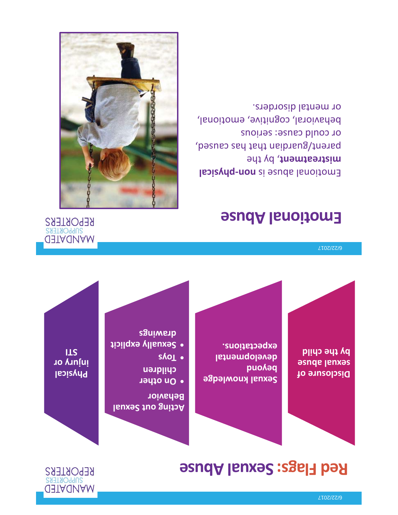## **Red Flags: Sexual Abuse**



**Disclosure of sexual abuse by the child** 

**Sexual knowledge beyond developmental expectations.** 

**Acting out Sexual Behavior** 

- **On other children**
- **Toys**
- **Sexually explicit drawings**

**Physical injury or STI** 

#### 6/22/2017

## **Emotional Abuse**

Emotional abuse is **non-physical mistreatment**, by the parent/guardian that has caused, or could cause: serious behavioral, cognitive, emotional, or mental disorders.



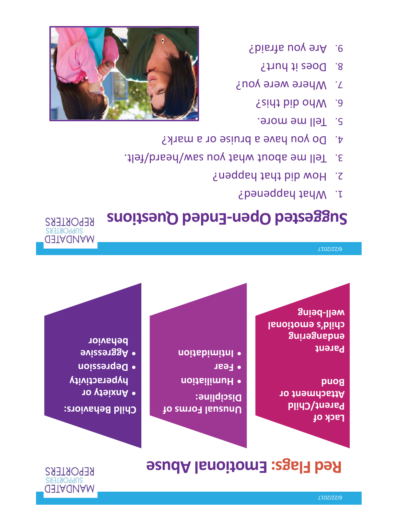# **Red Flags: Emotional Abuse**



**MANDATED SUPPORTERS REPORTERS** 

**Lack of Parent/Child Attachment or Bond** 

**Parent endangering child's emotional well-being** 

**Unusual Forms of Discipline:** 

- **Humiliation**
- **Fear**
- **Intimidation**

### **Child Behaviors:**

- **Anxiety or hyperactivity**
- **Depression**
- **Aggressive behavior**

#### 6/22/2017

# **Suggested Open-Ended Questions**

- 1. What happened?
- 2. How did that happen?
- 3. Tell me about what you saw/heard/felt.
- 4. Do you have a bruise or a mark?
- 5. Tell me more.
- 6. Who did this?
- 7. Where were you?
- 8. Does it hurt?
- 9. Are you afraid?

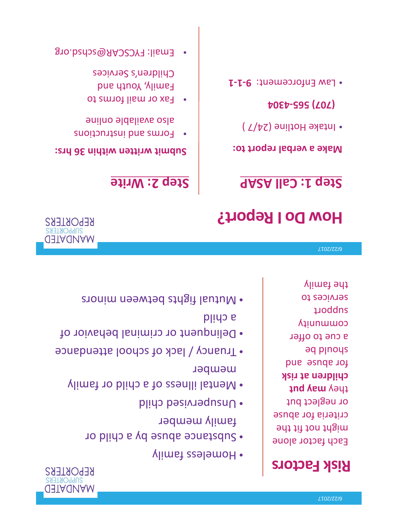## **Risk Factors**

Each factor alone might not fit the criteria for abuse or neglect but they **may put children at risk**  for abuse and should be a cue to offer community support services to the family

- Homeless family
- Substance abuse by a child or family member

**MANDATED** 

**REPORTERS** 

**MANDATED** 

**REPORTERS** 

- Unsupervised child
- Mental illness of a child or family member
- Truancy / lack of school attendance
- Delinquent or criminal behavior of a child
- Mutual fights between minors

#### 6/22/2017

## **How Do I Report?**

### **Step 1: Call ASAP**

### **Make a verbal report to:**

• Intake Hotline (24/7 )

### **(707) 565-4304**

• Law Enforcement: **9-1-1** 

### **Step 2: Write**

### **Submit written within 36 hrs:**

- • Forms and instructions also available online
- Fax or mail forms to Family, Youth and Children's Services
- •Email: FYCSCAR@schsd.org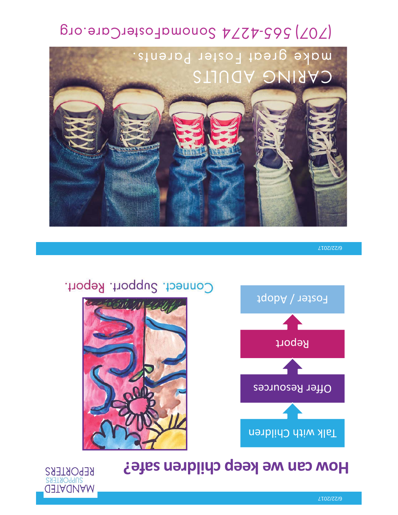## **How can we keep children safe?**





**MANDATED** 

**REPORTERS** 

Connect. Support. Report.

6/22/2017



(707) 565-4274 SonomaFosterCare.org